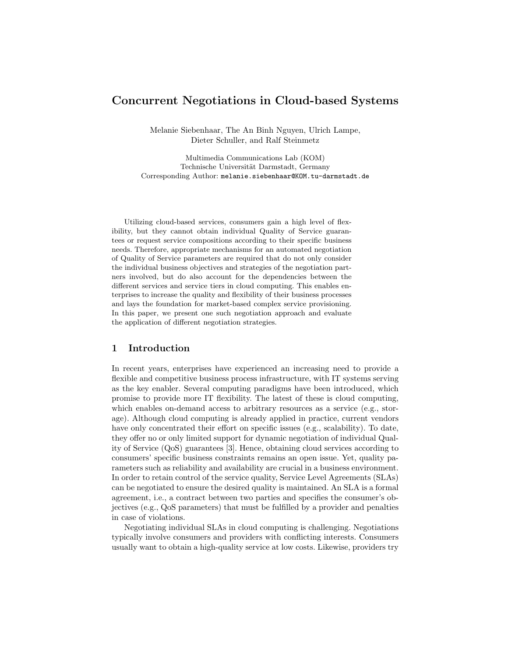# Concurrent Negotiations in Cloud-based Systems

Melanie Siebenhaar, The An Binh Nguyen, Ulrich Lampe, Dieter Schuller, and Ralf Steinmetz

Multimedia Communications Lab (KOM) Technische Universität Darmstadt, Germany Corresponding Author: melanie.siebenhaar@KOM.tu-darmstadt.de

Utilizing cloud-based services, consumers gain a high level of flexibility, but they cannot obtain individual Quality of Service guarantees or request service compositions according to their specific business needs. Therefore, appropriate mechanisms for an automated negotiation of Quality of Service parameters are required that do not only consider the individual business objectives and strategies of the negotiation partners involved, but do also account for the dependencies between the different services and service tiers in cloud computing. This enables enterprises to increase the quality and flexibility of their business processes and lays the foundation for market-based complex service provisioning. In this paper, we present one such negotiation approach and evaluate the application of different negotiation strategies.

# 1 Introduction

In recent years, enterprises have experienced an increasing need to provide a flexible and competitive business process infrastructure, with IT systems serving as the key enabler. Several computing paradigms have been introduced, which promise to provide more IT flexibility. The latest of these is cloud computing, which enables on-demand access to arbitrary resources as a service (e.g., storage). Although cloud computing is already applied in practice, current vendors have only concentrated their effort on specific issues (e.g., scalability). To date, they offer no or only limited support for dynamic negotiation of individual Quality of Service (QoS) guarantees [3]. Hence, obtaining cloud services according to consumers' specific business constraints remains an open issue. Yet, quality parameters such as reliability and availability are crucial in a business environment. In order to retain control of the service quality, Service Level Agreements (SLAs) can be negotiated to ensure the desired quality is maintained. An SLA is a formal agreement, i.e., a contract between two parties and specifies the consumer's objectives (e.g., QoS parameters) that must be fulfilled by a provider and penalties in case of violations.

Negotiating individual SLAs in cloud computing is challenging. Negotiations typically involve consumers and providers with conflicting interests. Consumers usually want to obtain a high-quality service at low costs. Likewise, providers try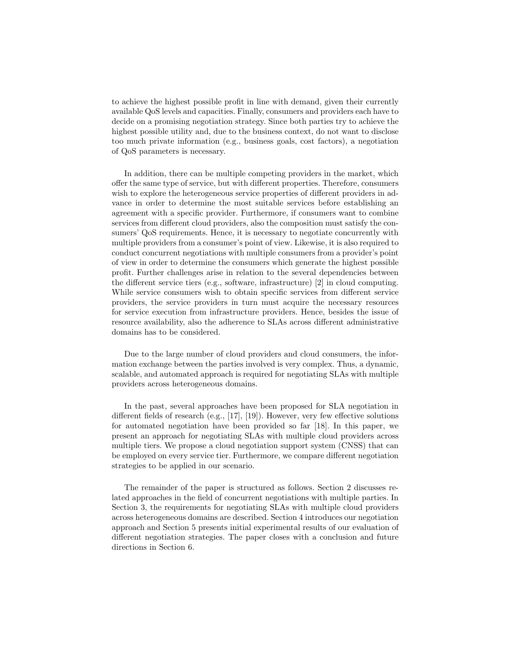to achieve the highest possible profit in line with demand, given their currently available QoS levels and capacities. Finally, consumers and providers each have to decide on a promising negotiation strategy. Since both parties try to achieve the highest possible utility and, due to the business context, do not want to disclose too much private information (e.g., business goals, cost factors), a negotiation of QoS parameters is necessary.

In addition, there can be multiple competing providers in the market, which offer the same type of service, but with different properties. Therefore, consumers wish to explore the heterogeneous service properties of different providers in advance in order to determine the most suitable services before establishing an agreement with a specific provider. Furthermore, if consumers want to combine services from different cloud providers, also the composition must satisfy the consumers' QoS requirements. Hence, it is necessary to negotiate concurrently with multiple providers from a consumer's point of view. Likewise, it is also required to conduct concurrent negotiations with multiple consumers from a provider's point of view in order to determine the consumers which generate the highest possible profit. Further challenges arise in relation to the several dependencies between the different service tiers (e.g., software, infrastructure) [2] in cloud computing. While service consumers wish to obtain specific services from different service providers, the service providers in turn must acquire the necessary resources for service execution from infrastructure providers. Hence, besides the issue of resource availability, also the adherence to SLAs across different administrative domains has to be considered.

Due to the large number of cloud providers and cloud consumers, the information exchange between the parties involved is very complex. Thus, a dynamic, scalable, and automated approach is required for negotiating SLAs with multiple providers across heterogeneous domains.

In the past, several approaches have been proposed for SLA negotiation in different fields of research (e.g., [17], [19]). However, very few effective solutions for automated negotiation have been provided so far [18]. In this paper, we present an approach for negotiating SLAs with multiple cloud providers across multiple tiers. We propose a cloud negotiation support system (CNSS) that can be employed on every service tier. Furthermore, we compare different negotiation strategies to be applied in our scenario.

The remainder of the paper is structured as follows. Section 2 discusses related approaches in the field of concurrent negotiations with multiple parties. In Section 3, the requirements for negotiating SLAs with multiple cloud providers across heterogeneous domains are described. Section 4 introduces our negotiation approach and Section 5 presents initial experimental results of our evaluation of different negotiation strategies. The paper closes with a conclusion and future directions in Section 6.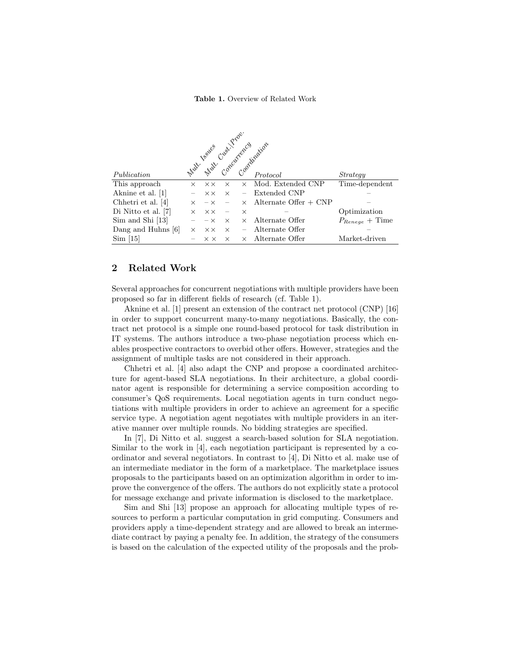Table 1. Overview of Related Work

| Mathi Mathi Concar (concertaination |          |                   |          |                          |                                |                                  |  |  |
|-------------------------------------|----------|-------------------|----------|--------------------------|--------------------------------|----------------------------------|--|--|
| Publication                         |          |                   |          |                          | Protocol                       | <i>Strategy</i>                  |  |  |
| This approach                       | $\times$ | $\times\times$    | $\times$ | $\times$                 | Mod. Extended CNP              | Time-dependent                   |  |  |
| Aknine et al. [1]                   |          | $\times\times$    | $\times$ | $\overline{\phantom{m}}$ | Extended CNP                   |                                  |  |  |
| Chhetri et al. [4]                  | $\times$ | $-\times$         |          |                          | $\times$ Alternate Offer + CNP |                                  |  |  |
| Di Nitto et al. [7]                 | $\times$ | $\times\times$    |          | $\times$                 |                                | Optimization                     |  |  |
| $Sim$ and $Shi$ [13]                |          | $-\times$         | $\times$ | $\times$                 | Alternate Offer                | $P_{\text{Renge}} + \text{Time}$ |  |  |
| Dang and Huhns [6]                  | X        | XX.               | $\times$ | $\overline{\phantom{m}}$ | Alternate Offer                |                                  |  |  |
| $Sim$ [15]                          |          | $\times$ $\times$ | $\times$ | $\times$                 | Alternate Offer                | Market-driven                    |  |  |

### 2 Related Work

Several approaches for concurrent negotiations with multiple providers have been proposed so far in different fields of research (cf. Table 1).

Aknine et al. [1] present an extension of the contract net protocol (CNP) [16] in order to support concurrent many-to-many negotiations. Basically, the contract net protocol is a simple one round-based protocol for task distribution in IT systems. The authors introduce a two-phase negotiation process which enables prospective contractors to overbid other offers. However, strategies and the assignment of multiple tasks are not considered in their approach.

Chhetri et al. [4] also adapt the CNP and propose a coordinated architecture for agent-based SLA negotiations. In their architecture, a global coordinator agent is responsible for determining a service composition according to consumer's QoS requirements. Local negotiation agents in turn conduct negotiations with multiple providers in order to achieve an agreement for a specific service type. A negotiation agent negotiates with multiple providers in an iterative manner over multiple rounds. No bidding strategies are specified.

In [7], Di Nitto et al. suggest a search-based solution for SLA negotiation. Similar to the work in [4], each negotiation participant is represented by a coordinator and several negotiators. In contrast to [4], Di Nitto et al. make use of an intermediate mediator in the form of a marketplace. The marketplace issues proposals to the participants based on an optimization algorithm in order to improve the convergence of the offers. The authors do not explicitly state a protocol for message exchange and private information is disclosed to the marketplace.

Sim and Shi [13] propose an approach for allocating multiple types of resources to perform a particular computation in grid computing. Consumers and providers apply a time-dependent strategy and are allowed to break an intermediate contract by paying a penalty fee. In addition, the strategy of the consumers is based on the calculation of the expected utility of the proposals and the prob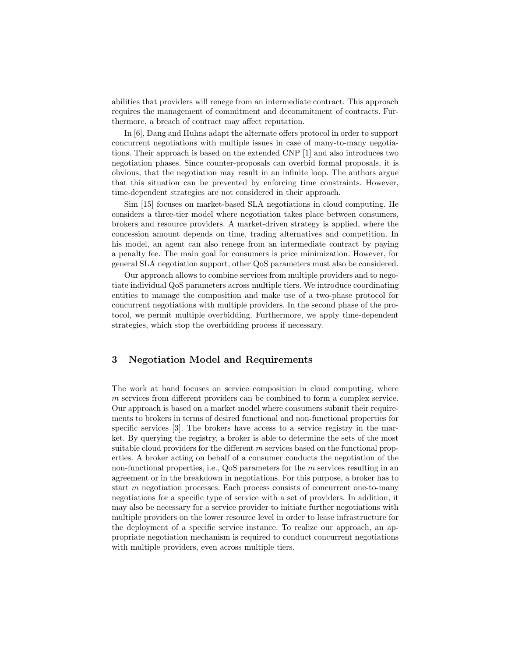abilities that providers will renege from an intermediate contract. This approach requires the management of commitment and decommitment of contracts. Furthermore, a breach of contract may affect reputation.

In [6], Dang and Huhns adapt the alternate offers protocol in order to support concurrent negotiations with multiple issues in case of many-to-many negotiations. Their approach is based on the extended CNP [1] and also introduces two negotiation phases. Since counter-proposals can overbid formal proposals, it is obvious, that the negotiation may result in an infinite loop. The authors argue that this situation can be prevented by enforcing time constraints. However, time-dependent strategies are not considered in their approach.

Sim [15] focuses on market-based SLA negotiations in cloud computing. He considers a three-tier model where negotiation takes place between consumers, brokers and resource providers. A market-driven strategy is applied, where the concession amount depends on time, trading alternatives and competition. In his model, an agent can also renege from an intermediate contract by paying a penalty fee. The main goal for consumers is price minimization. However, for general SLA negotiation support, other QoS parameters must also be considered.

Our approach allows to combine services from multiple providers and to negotiate individual QoS parameters across multiple tiers. We introduce coordinating entities to manage the composition and make use of a two-phase protocol for concurrent negotiations with multiple providers. In the second phase of the protocol, we permit multiple overbidding. Furthermore, we apply time-dependent strategies, which stop the overbidding process if necessary.

# 3 Negotiation Model and Requirements

The work at hand focuses on service composition in cloud computing, where m services from different providers can be combined to form a complex service. Our approach is based on a market model where consumers submit their requirements to brokers in terms of desired functional and non-functional properties for specific services [3]. The brokers have access to a service registry in the market. By querying the registry, a broker is able to determine the sets of the most suitable cloud providers for the different  $m$  services based on the functional properties. A broker acting on behalf of a consumer conducts the negotiation of the non-functional properties, i.e., QoS parameters for the m services resulting in an agreement or in the breakdown in negotiations. For this purpose, a broker has to start m negotiation processes. Each process consists of concurrent one-to-many negotiations for a specific type of service with a set of providers. In addition, it may also be necessary for a service provider to initiate further negotiations with multiple providers on the lower resource level in order to lease infrastructure for the deployment of a specific service instance. To realize our approach, an appropriate negotiation mechanism is required to conduct concurrent negotiations with multiple providers, even across multiple tiers.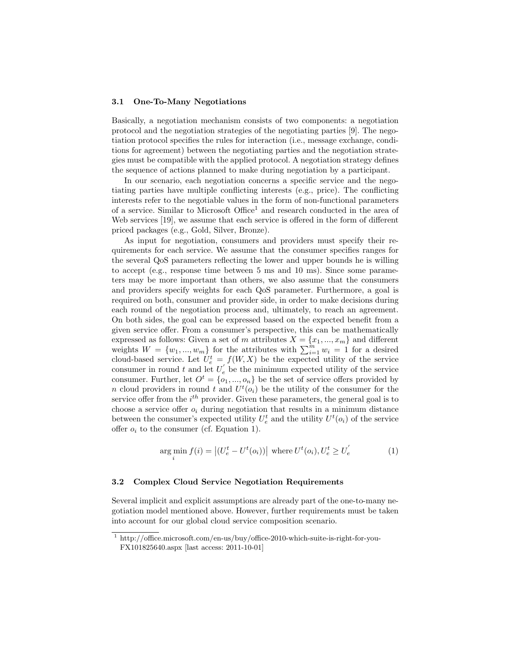#### 3.1 One-To-Many Negotiations

Basically, a negotiation mechanism consists of two components: a negotiation protocol and the negotiation strategies of the negotiating parties [9]. The negotiation protocol specifies the rules for interaction (i.e., message exchange, conditions for agreement) between the negotiating parties and the negotiation strategies must be compatible with the applied protocol. A negotiation strategy defines the sequence of actions planned to make during negotiation by a participant.

In our scenario, each negotiation concerns a specific service and the negotiating parties have multiple conflicting interests (e.g., price). The conflicting interests refer to the negotiable values in the form of non-functional parameters of a service. Similar to Microsoft Office<sup>1</sup> and research conducted in the area of Web services [19], we assume that each service is offered in the form of different priced packages (e.g., Gold, Silver, Bronze).

As input for negotiation, consumers and providers must specify their requirements for each service. We assume that the consumer specifies ranges for the several QoS parameters reflecting the lower and upper bounds he is willing to accept (e.g., response time between 5 ms and 10 ms). Since some parameters may be more important than others, we also assume that the consumers and providers specify weights for each QoS parameter. Furthermore, a goal is required on both, consumer and provider side, in order to make decisions during each round of the negotiation process and, ultimately, to reach an agreement. On both sides, the goal can be expressed based on the expected benefit from a given service offer. From a consumer's perspective, this can be mathematically expressed as follows: Given a set of m attributes  $X = \{x_1, ..., x_m\}$  and different weights  $W = \{w_1, ..., w_m\}$  for the attributes with  $\sum_{i=1}^{m} w_i = 1$  for a desired cloud-based service. Let  $U_e^t = f(W, X)$  be the expected utility of the service consumer in round t and let  $U_e'$  be the minimum expected utility of the service consumer. Further, let  $O^t = \{o_1, ..., o_n\}$  be the set of service offers provided by n cloud providers in round t and  $U^t(o_i)$  be the utility of the consumer for the service offer from the  $i^{th}$  provider. Given these parameters, the general goal is to choose a service offer  $o_i$  during negotiation that results in a minimum distance between the consumer's expected utility  $U_e^t$  and the utility  $U^t(o_i)$  of the service offer  $o_i$  to the consumer (cf. Equation 1).

$$
\underset{i}{\arg\min} f(i) = \left| (U_e^t - U^t(o_i)) \right| \text{ where } U^t(o_i), U_e^t \ge U_e' \tag{1}
$$

### 3.2 Complex Cloud Service Negotiation Requirements

Several implicit and explicit assumptions are already part of the one-to-many negotiation model mentioned above. However, further requirements must be taken into account for our global cloud service composition scenario.

<sup>1</sup> http://office.microsoft.com/en-us/buy/office-2010-which-suite-is-right-for-you-FX101825640.aspx [last access: 2011-10-01]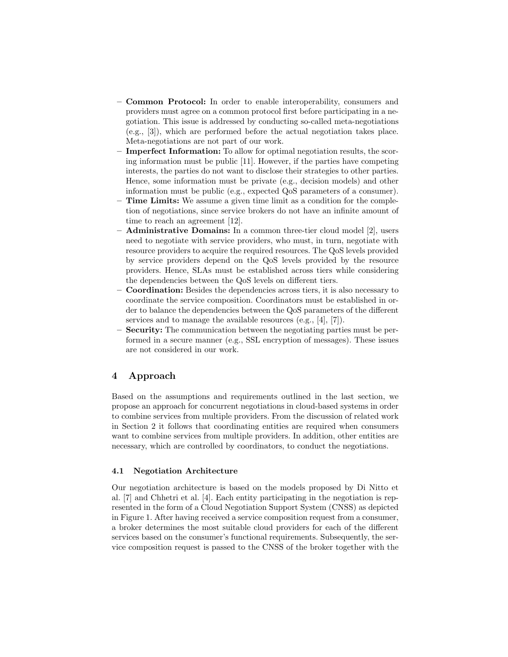- Common Protocol: In order to enable interoperability, consumers and providers must agree on a common protocol first before participating in a negotiation. This issue is addressed by conducting so-called meta-negotiations (e.g., [3]), which are performed before the actual negotiation takes place. Meta-negotiations are not part of our work.
- Imperfect Information: To allow for optimal negotiation results, the scoring information must be public [11]. However, if the parties have competing interests, the parties do not want to disclose their strategies to other parties. Hence, some information must be private (e.g., decision models) and other information must be public (e.g., expected QoS parameters of a consumer).
- Time Limits: We assume a given time limit as a condition for the completion of negotiations, since service brokers do not have an infinite amount of time to reach an agreement [12].
- Administrative Domains: In a common three-tier cloud model [2], users need to negotiate with service providers, who must, in turn, negotiate with resource providers to acquire the required resources. The QoS levels provided by service providers depend on the QoS levels provided by the resource providers. Hence, SLAs must be established across tiers while considering the dependencies between the QoS levels on different tiers.
- Coordination: Besides the dependencies across tiers, it is also necessary to coordinate the service composition. Coordinators must be established in order to balance the dependencies between the QoS parameters of the different services and to manage the available resources (e.g., [4], [7]).
- Security: The communication between the negotiating parties must be performed in a secure manner (e.g., SSL encryption of messages). These issues are not considered in our work.

# 4 Approach

Based on the assumptions and requirements outlined in the last section, we propose an approach for concurrent negotiations in cloud-based systems in order to combine services from multiple providers. From the discussion of related work in Section 2 it follows that coordinating entities are required when consumers want to combine services from multiple providers. In addition, other entities are necessary, which are controlled by coordinators, to conduct the negotiations.

### 4.1 Negotiation Architecture

Our negotiation architecture is based on the models proposed by Di Nitto et al. [7] and Chhetri et al. [4]. Each entity participating in the negotiation is represented in the form of a Cloud Negotiation Support System (CNSS) as depicted in Figure 1. After having received a service composition request from a consumer, a broker determines the most suitable cloud providers for each of the different services based on the consumer's functional requirements. Subsequently, the service composition request is passed to the CNSS of the broker together with the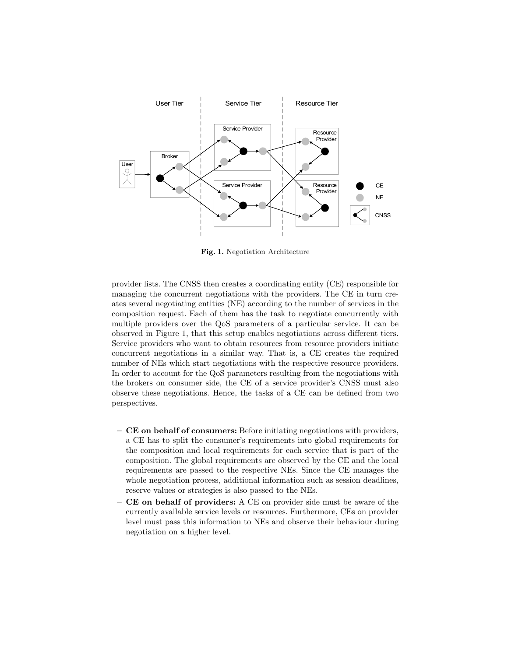

Fig. 1. Negotiation Architecture

provider lists. The CNSS then creates a coordinating entity (CE) responsible for managing the concurrent negotiations with the providers. The CE in turn creates several negotiating entities (NE) according to the number of services in the composition request. Each of them has the task to negotiate concurrently with multiple providers over the QoS parameters of a particular service. It can be observed in Figure 1, that this setup enables negotiations across different tiers. Service providers who want to obtain resources from resource providers initiate concurrent negotiations in a similar way. That is, a CE creates the required number of NEs which start negotiations with the respective resource providers. In order to account for the QoS parameters resulting from the negotiations with the brokers on consumer side, the CE of a service provider's CNSS must also observe these negotiations. Hence, the tasks of a CE can be defined from two perspectives.

- $-$  **CE** on behalf of consumers: Before initiating negotiations with providers, a CE has to split the consumer's requirements into global requirements for the composition and local requirements for each service that is part of the composition. The global requirements are observed by the CE and the local requirements are passed to the respective NEs. Since the CE manages the whole negotiation process, additional information such as session deadlines, reserve values or strategies is also passed to the NEs.
- CE on behalf of providers: A CE on provider side must be aware of the currently available service levels or resources. Furthermore, CEs on provider level must pass this information to NEs and observe their behaviour during negotiation on a higher level.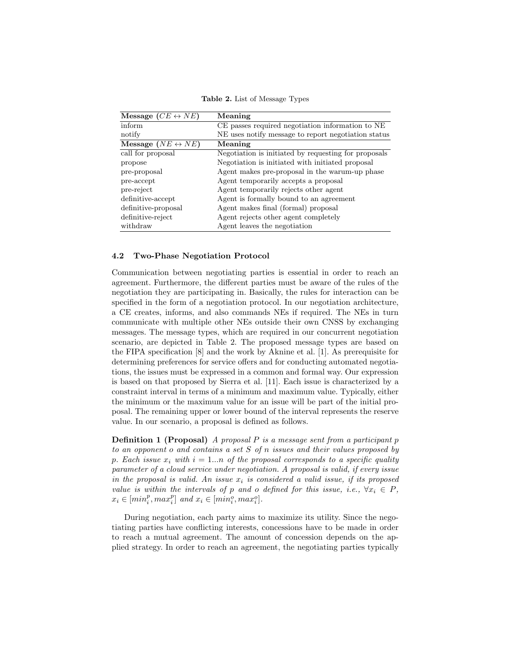Table 2. List of Message Types

| Message $(CE \leftrightarrow NE)$ | Meaning                                              |
|-----------------------------------|------------------------------------------------------|
| inform                            | CE passes required negotiation information to NE     |
| notify                            | NE uses notify message to report negotiation status  |
| Message $(NE \leftrightarrow NE)$ | Meaning                                              |
| call for proposal                 | Negotiation is initiated by requesting for proposals |
| propose                           | Negotiation is initiated with initiated proposal     |
| pre-proposal                      | Agent makes pre-proposal in the warum-up phase       |
| pre-accept                        | Agent temporarily accepts a proposal                 |
| pre-reject                        | Agent temporarily rejects other agent                |
| definitive-accept                 | Agent is formally bound to an agreement              |
| definitive-proposal               | Agent makes final (formal) proposal                  |
| definitive-reject                 | Agent rejects other agent completely                 |
| withdraw                          | Agent leaves the negotiation                         |

### 4.2 Two-Phase Negotiation Protocol

Communication between negotiating parties is essential in order to reach an agreement. Furthermore, the different parties must be aware of the rules of the negotiation they are participating in. Basically, the rules for interaction can be specified in the form of a negotiation protocol. In our negotiation architecture, a CE creates, informs, and also commands NEs if required. The NEs in turn communicate with multiple other NEs outside their own CNSS by exchanging messages. The message types, which are required in our concurrent negotiation scenario, are depicted in Table 2. The proposed message types are based on the FIPA specification [8] and the work by Aknine et al. [1]. As prerequisite for determining preferences for service offers and for conducting automated negotiations, the issues must be expressed in a common and formal way. Our expression is based on that proposed by Sierra et al. [11]. Each issue is characterized by a constraint interval in terms of a minimum and maximum value. Typically, either the minimum or the maximum value for an issue will be part of the initial proposal. The remaining upper or lower bound of the interval represents the reserve value. In our scenario, a proposal is defined as follows.

**Definition 1 (Proposal)** A proposal P is a message sent from a participant p to an opponent o and contains a set S of n issues and their values proposed by p. Each issue  $x_i$  with  $i = 1...n$  of the proposal corresponds to a specific quality parameter of a cloud service under negotiation. A proposal is valid, if every issue in the proposal is valid. An issue  $x_i$  is considered a valid issue, if its proposed value is within the intervals of p and o defined for this issue, i.e.,  $\forall x_i \in P$ ,  $x_i \in [min_i^p, max_i^p]$  and  $x_i \in [min_i^o, max_i^o]$ .

During negotiation, each party aims to maximize its utility. Since the negotiating parties have conflicting interests, concessions have to be made in order to reach a mutual agreement. The amount of concession depends on the applied strategy. In order to reach an agreement, the negotiating parties typically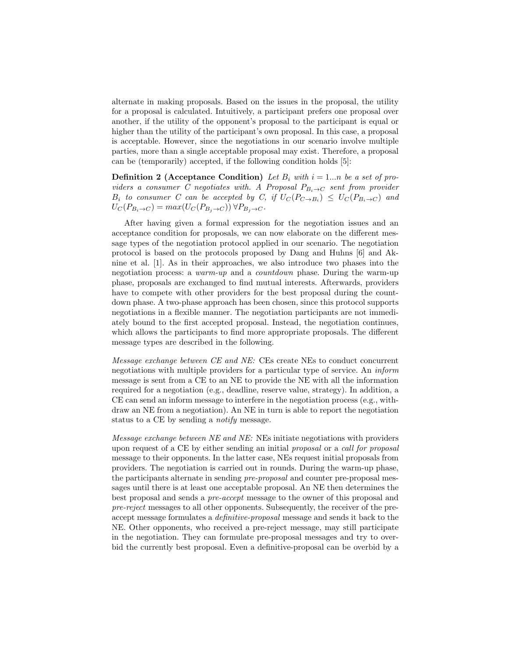alternate in making proposals. Based on the issues in the proposal, the utility for a proposal is calculated. Intuitively, a participant prefers one proposal over another, if the utility of the opponent's proposal to the participant is equal or higher than the utility of the participant's own proposal. In this case, a proposal is acceptable. However, since the negotiations in our scenario involve multiple parties, more than a single acceptable proposal may exist. Therefore, a proposal can be (temporarily) accepted, if the following condition holds [5]:

**Definition 2 (Acceptance Condition)** Let  $B_i$  with  $i = 1...n$  be a set of providers a consumer C negotiates with. A Proposal  $P_{B_i\rightarrow C}$  sent from provider  $B_i$  to consumer C can be accepted by C, if  $U_C(P_{C\rightarrow B_i}) \le U_C(P_{B_i\rightarrow C})$  and  $U_C(P_{B_i\rightarrow C}) = max(U_C(P_{B_i\rightarrow C})) \,\forall P_{B_i\rightarrow C}.$ 

After having given a formal expression for the negotiation issues and an acceptance condition for proposals, we can now elaborate on the different message types of the negotiation protocol applied in our scenario. The negotiation protocol is based on the protocols proposed by Dang and Huhns [6] and Aknine et al. [1]. As in their approaches, we also introduce two phases into the negotiation process: a warm-up and a countdown phase. During the warm-up phase, proposals are exchanged to find mutual interests. Afterwards, providers have to compete with other providers for the best proposal during the countdown phase. A two-phase approach has been chosen, since this protocol supports negotiations in a flexible manner. The negotiation participants are not immediately bound to the first accepted proposal. Instead, the negotiation continues, which allows the participants to find more appropriate proposals. The different message types are described in the following.

Message exchange between CE and NE: CEs create NEs to conduct concurrent negotiations with multiple providers for a particular type of service. An inform message is sent from a CE to an NE to provide the NE with all the information required for a negotiation (e.g., deadline, reserve value, strategy). In addition, a CE can send an inform message to interfere in the negotiation process (e.g., withdraw an NE from a negotiation). An NE in turn is able to report the negotiation status to a CE by sending a notify message.

Message exchange between NE and NE: NEs initiate negotiations with providers upon request of a CE by either sending an initial proposal or a call for proposal message to their opponents. In the latter case, NEs request initial proposals from providers. The negotiation is carried out in rounds. During the warm-up phase, the participants alternate in sending pre-proposal and counter pre-proposal messages until there is at least one acceptable proposal. An NE then determines the best proposal and sends a pre-accept message to the owner of this proposal and pre-reject messages to all other opponents. Subsequently, the receiver of the preaccept message formulates a definitive-proposal message and sends it back to the NE. Other opponents, who received a pre-reject message, may still participate in the negotiation. They can formulate pre-proposal messages and try to overbid the currently best proposal. Even a definitive-proposal can be overbid by a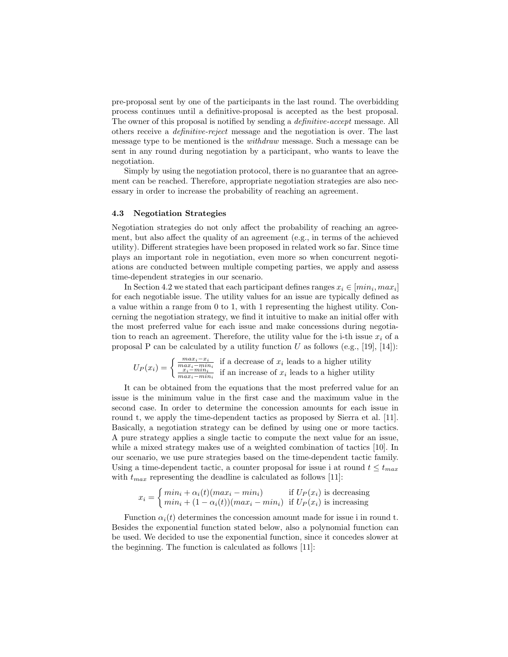pre-proposal sent by one of the participants in the last round. The overbidding process continues until a definitive-proposal is accepted as the best proposal. The owner of this proposal is notified by sending a *definitive-accept* message. All others receive a definitive-reject message and the negotiation is over. The last message type to be mentioned is the withdraw message. Such a message can be sent in any round during negotiation by a participant, who wants to leave the negotiation.

Simply by using the negotiation protocol, there is no guarantee that an agreement can be reached. Therefore, appropriate negotiation strategies are also necessary in order to increase the probability of reaching an agreement.

### 4.3 Negotiation Strategies

Negotiation strategies do not only affect the probability of reaching an agreement, but also affect the quality of an agreement (e.g., in terms of the achieved utility). Different strategies have been proposed in related work so far. Since time plays an important role in negotiation, even more so when concurrent negotiations are conducted between multiple competing parties, we apply and assess time-dependent strategies in our scenario.

In Section 4.2 we stated that each participant defines ranges  $x_i \in [min_i, max_i]$ for each negotiable issue. The utility values for an issue are typically defined as a value within a range from 0 to 1, with 1 representing the highest utility. Concerning the negotiation strategy, we find it intuitive to make an initial offer with the most preferred value for each issue and make concessions during negotiation to reach an agreement. Therefore, the utility value for the i-th issue  $x_i$  of a proposal P can be calculated by a utility function U as follows (e.g., [19], [14]):

$$
U_P(x_i) = \begin{cases} \frac{max_i - x_i}{max_i - min_i} & \text{if a decrease of } x_i \text{ leads to a higher utility} \\ \frac{x_i - min_i}{max_i - min_i} & \text{if an increase of } x_i \text{ leads to a higher utility} \end{cases}
$$

It can be obtained from the equations that the most preferred value for an issue is the minimum value in the first case and the maximum value in the second case. In order to determine the concession amounts for each issue in round t, we apply the time-dependent tactics as proposed by Sierra et al. [11]. Basically, a negotiation strategy can be defined by using one or more tactics. A pure strategy applies a single tactic to compute the next value for an issue, while a mixed strategy makes use of a weighted combination of tactics [10]. In our scenario, we use pure strategies based on the time-dependent tactic family. Using a time-dependent tactic, a counter proposal for issue i at round  $t \leq t_{max}$ with  $t_{max}$  representing the deadline is calculated as follows [11]:

$$
x_i = \begin{cases} min_i + \alpha_i(t)(max_i - min_i) & \text{if } U_P(x_i) \text{ is decreasing} \\ min_i + (1 - \alpha_i(t))(max_i - min_i) & \text{if } U_P(x_i) \text{ is increasing} \end{cases}
$$

Function  $\alpha_i(t)$  determines the concession amount made for issue i in round t. Besides the exponential function stated below, also a polynomial function can be used. We decided to use the exponential function, since it concedes slower at the beginning. The function is calculated as follows [11]: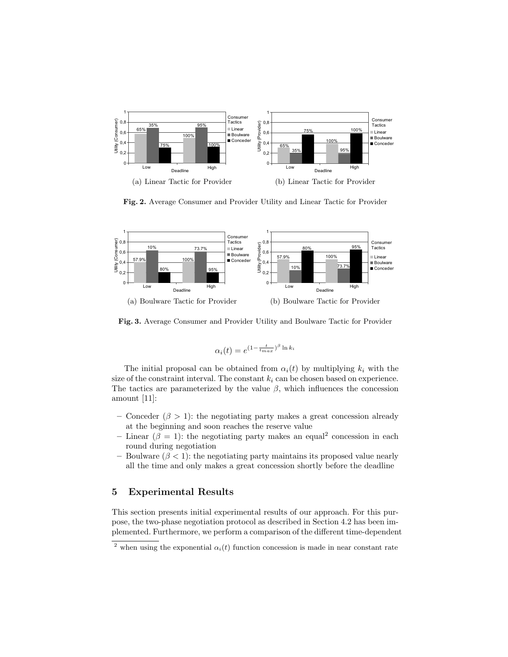

Fig. 2. Average Consumer and Provider Utility and Linear Tactic for Provider



Fig. 3. Average Consumer and Provider Utility and Boulware Tactic for Provider

$$
\alpha_i(t) = e^{(1 - \frac{t}{t_{max}})^{\beta} \ln k_i}
$$

The initial proposal can be obtained from  $\alpha_i(t)$  by multiplying  $k_i$  with the size of the constraint interval. The constant  $k_i$  can be chosen based on experience. The tactics are parameterized by the value  $\beta$ , which influences the concession amount [11]:

- Conceder  $(\beta > 1)$ : the negotiating party makes a great concession already at the beginning and soon reaches the reserve value
- Linear  $(\beta = 1)$ : the negotiating party makes an equal<sup>2</sup> concession in each round during negotiation
- Boulware  $(\beta < 1)$ : the negotiating party maintains its proposed value nearly all the time and only makes a great concession shortly before the deadline

# 5 Experimental Results

This section presents initial experimental results of our approach. For this purpose, the two-phase negotiation protocol as described in Section 4.2 has been implemented. Furthermore, we perform a comparison of the different time-dependent

<sup>&</sup>lt;sup>2</sup> when using the exponential  $\alpha_i(t)$  function concession is made in near constant rate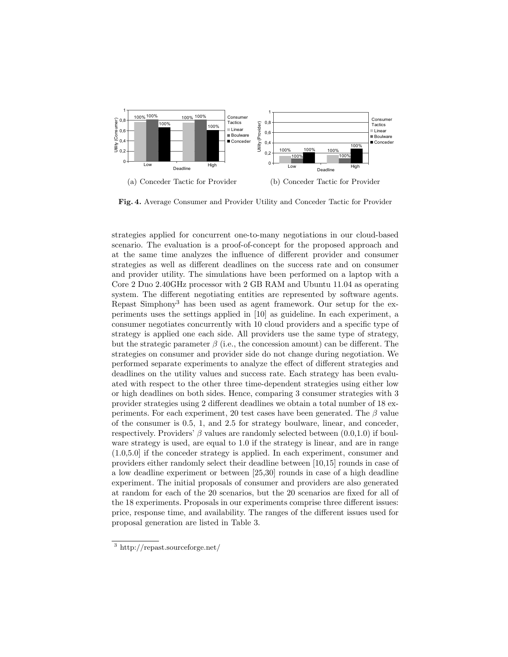

Fig. 4. Average Consumer and Provider Utility and Conceder Tactic for Provider

strategies applied for concurrent one-to-many negotiations in our cloud-based scenario. The evaluation is a proof-of-concept for the proposed approach and at the same time analyzes the influence of different provider and consumer strategies as well as different deadlines on the success rate and on consumer and provider utility. The simulations have been performed on a laptop with a Core 2 Duo 2.40GHz processor with 2 GB RAM and Ubuntu 11.04 as operating system. The different negotiating entities are represented by software agents. Repast Simphony<sup>3</sup> has been used as agent framework. Our setup for the experiments uses the settings applied in [10] as guideline. In each experiment, a consumer negotiates concurrently with 10 cloud providers and a specific type of strategy is applied one each side. All providers use the same type of strategy, but the strategic parameter  $\beta$  (i.e., the concession amount) can be different. The strategies on consumer and provider side do not change during negotiation. We performed separate experiments to analyze the effect of different strategies and deadlines on the utility values and success rate. Each strategy has been evaluated with respect to the other three time-dependent strategies using either low or high deadlines on both sides. Hence, comparing 3 consumer strategies with 3 provider strategies using 2 different deadlines we obtain a total number of 18 experiments. For each experiment, 20 test cases have been generated. The  $\beta$  value of the consumer is 0.5, 1, and 2.5 for strategy boulware, linear, and conceder, respectively. Providers'  $\beta$  values are randomly selected between  $(0.0,1.0)$  if boulware strategy is used, are equal to 1.0 if the strategy is linear, and are in range (1.0,5.0] if the conceder strategy is applied. In each experiment, consumer and providers either randomly select their deadline between [10,15] rounds in case of a low deadline experiment or between [25,30] rounds in case of a high deadline experiment. The initial proposals of consumer and providers are also generated at random for each of the 20 scenarios, but the 20 scenarios are fixed for all of the 18 experiments. Proposals in our experiments comprise three different issues: price, response time, and availability. The ranges of the different issues used for proposal generation are listed in Table 3.

<sup>3</sup> http://repast.sourceforge.net/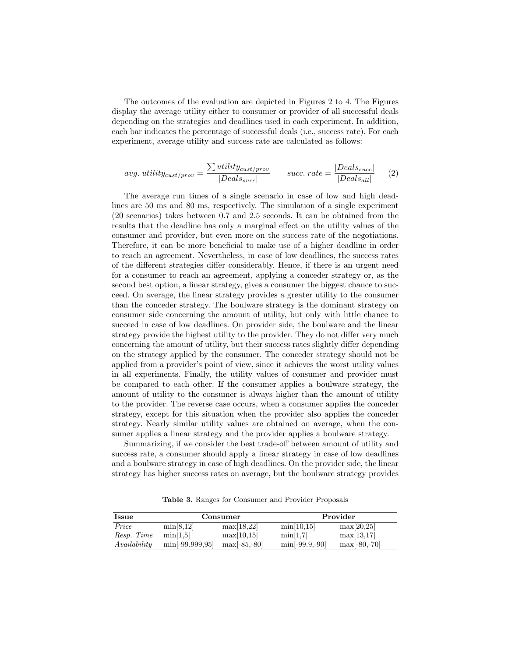The outcomes of the evaluation are depicted in Figures 2 to 4. The Figures display the average utility either to consumer or provider of all successful deals depending on the strategies and deadlines used in each experiment. In addition, each bar indicates the percentage of successful deals (i.e., success rate). For each experiment, average utility and success rate are calculated as follows:

$$
avg. \text{ } utility_{cust/prov} = \frac{\sum \text{ } utility_{cust/prov}}{|Deals_{succ}|} \qquad succ. \text{ } rate = \frac{|Deals_{succ}|}{|Deals_{all}|} \qquad (2)
$$

The average run times of a single scenario in case of low and high deadlines are 50 ms and 80 ms, respectively. The simulation of a single experiment (20 scenarios) takes between 0.7 and 2.5 seconds. It can be obtained from the results that the deadline has only a marginal effect on the utility values of the consumer and provider, but even more on the success rate of the negotiations. Therefore, it can be more beneficial to make use of a higher deadline in order to reach an agreement. Nevertheless, in case of low deadlines, the success rates of the different strategies differ considerably. Hence, if there is an urgent need for a consumer to reach an agreement, applying a conceder strategy or, as the second best option, a linear strategy, gives a consumer the biggest chance to succeed. On average, the linear strategy provides a greater utility to the consumer than the conceder strategy. The boulware strategy is the dominant strategy on consumer side concerning the amount of utility, but only with little chance to succeed in case of low deadlines. On provider side, the boulware and the linear strategy provide the highest utility to the provider. They do not differ very much concerning the amount of utility, but their success rates slightly differ depending on the strategy applied by the consumer. The conceder strategy should not be applied from a provider's point of view, since it achieves the worst utility values in all experiments. Finally, the utility values of consumer and provider must be compared to each other. If the consumer applies a boulware strategy, the amount of utility to the consumer is always higher than the amount of utility to the provider. The reverse case occurs, when a consumer applies the conceder strategy, except for this situation when the provider also applies the conceder strategy. Nearly similar utility values are obtained on average, when the consumer applies a linear strategy and the provider applies a boulware strategy.

Summarizing, if we consider the best trade-off between amount of utility and success rate, a consumer should apply a linear strategy in case of low deadlines and a boulware strategy in case of high deadlines. On the provider side, the linear strategy has higher success rates on average, but the boulware strategy provides

Table 3. Ranges for Consumer and Provider Proposals

| Issue                 |                   | Consumer       | Provider         |                |  |
|-----------------------|-------------------|----------------|------------------|----------------|--|
| Price                 | min[8,12]         | max[18,22]     | min[10, 15]      | max[20,25]     |  |
| Resp. Time            | min[1,5]          | max[10,15]     | min[1,7]         | max[13, 17]    |  |
| A <i>validibility</i> | $min[-99.999,95]$ | $max[-85,-80]$ | $min[-99.9,-90]$ | $max[-80,-70]$ |  |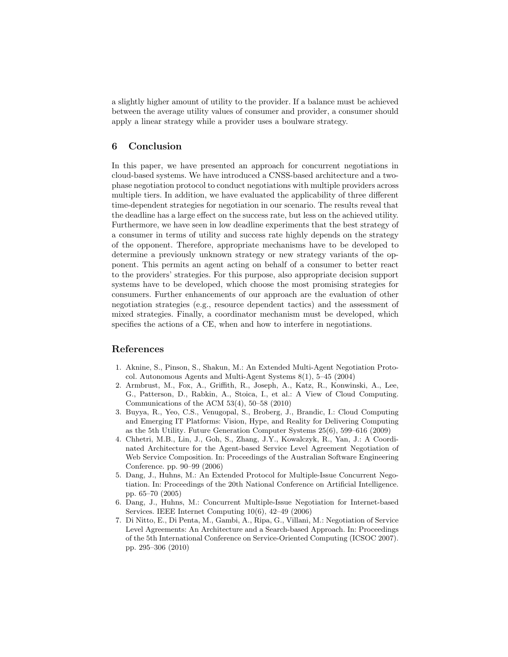a slightly higher amount of utility to the provider. If a balance must be achieved between the average utility values of consumer and provider, a consumer should apply a linear strategy while a provider uses a boulware strategy.

# 6 Conclusion

In this paper, we have presented an approach for concurrent negotiations in cloud-based systems. We have introduced a CNSS-based architecture and a twophase negotiation protocol to conduct negotiations with multiple providers across multiple tiers. In addition, we have evaluated the applicability of three different time-dependent strategies for negotiation in our scenario. The results reveal that the deadline has a large effect on the success rate, but less on the achieved utility. Furthermore, we have seen in low deadline experiments that the best strategy of a consumer in terms of utility and success rate highly depends on the strategy of the opponent. Therefore, appropriate mechanisms have to be developed to determine a previously unknown strategy or new strategy variants of the opponent. This permits an agent acting on behalf of a consumer to better react to the providers' strategies. For this purpose, also appropriate decision support systems have to be developed, which choose the most promising strategies for consumers. Further enhancements of our approach are the evaluation of other negotiation strategies (e.g., resource dependent tactics) and the assessment of mixed strategies. Finally, a coordinator mechanism must be developed, which specifies the actions of a CE, when and how to interfere in negotiations.

# References

- 1. Aknine, S., Pinson, S., Shakun, M.: An Extended Multi-Agent Negotiation Protocol. Autonomous Agents and Multi-Agent Systems 8(1), 5–45 (2004)
- 2. Armbrust, M., Fox, A., Griffith, R., Joseph, A., Katz, R., Konwinski, A., Lee, G., Patterson, D., Rabkin, A., Stoica, I., et al.: A View of Cloud Computing. Communications of the ACM 53(4), 50–58 (2010)
- 3. Buyya, R., Yeo, C.S., Venugopal, S., Broberg, J., Brandic, I.: Cloud Computing and Emerging IT Platforms: Vision, Hype, and Reality for Delivering Computing as the 5th Utility. Future Generation Computer Systems 25(6), 599–616 (2009)
- 4. Chhetri, M.B., Lin, J., Goh, S., Zhang, J.Y., Kowalczyk, R., Yan, J.: A Coordinated Architecture for the Agent-based Service Level Agreement Negotiation of Web Service Composition. In: Proceedings of the Australian Software Engineering Conference. pp. 90–99 (2006)
- 5. Dang, J., Huhns, M.: An Extended Protocol for Multiple-Issue Concurrent Negotiation. In: Proceedings of the 20th National Conference on Artificial Intelligence. pp. 65–70 (2005)
- 6. Dang, J., Huhns, M.: Concurrent Multiple-Issue Negotiation for Internet-based Services. IEEE Internet Computing 10(6), 42–49 (2006)
- 7. Di Nitto, E., Di Penta, M., Gambi, A., Ripa, G., Villani, M.: Negotiation of Service Level Agreements: An Architecture and a Search-based Approach. In: Proceedings of the 5th International Conference on Service-Oriented Computing (ICSOC 2007). pp. 295–306 (2010)